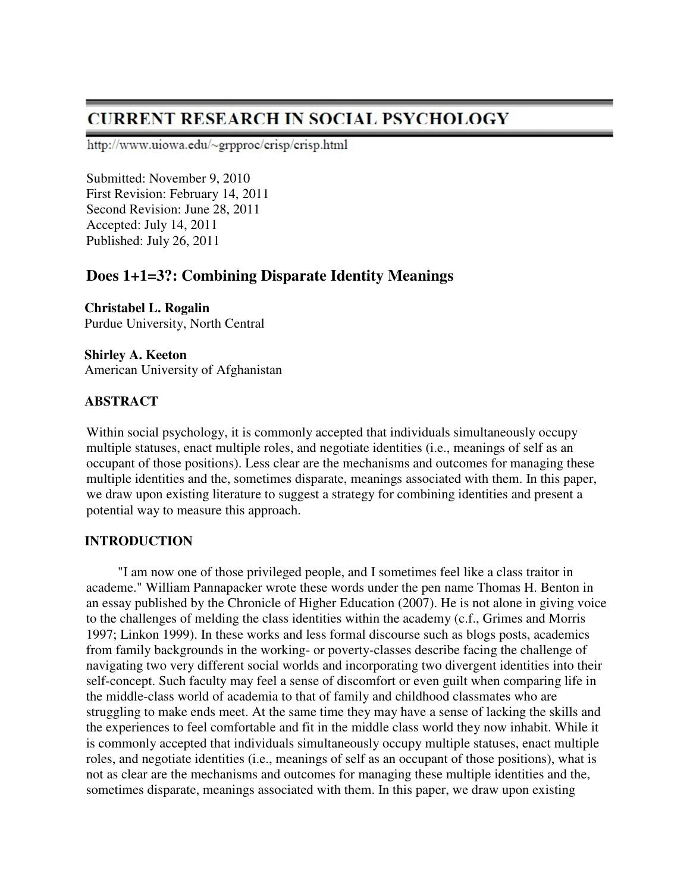# **CURRENT RESEARCH IN SOCIAL PSYCHOLOGY**

http://www.uiowa.edu/~grpproc/crisp/crisp.html

Submitted: November 9, 2010 First Revision: February 14, 2011 Second Revision: June 28, 2011 Accepted: July 14, 2011 Published: July 26, 2011

## **Does 1+1=3?: Combining Disparate Identity Meanings**

**Christabel L. Rogalin**  Purdue University, North Central

**Shirley A. Keeton**  American University of Afghanistan

## **ABSTRACT**

Within social psychology, it is commonly accepted that individuals simultaneously occupy multiple statuses, enact multiple roles, and negotiate identities (i.e., meanings of self as an occupant of those positions). Less clear are the mechanisms and outcomes for managing these multiple identities and the, sometimes disparate, meanings associated with them. In this paper, we draw upon existing literature to suggest a strategy for combining identities and present a potential way to measure this approach.

## **INTRODUCTION**

"I am now one of those privileged people, and I sometimes feel like a class traitor in academe." William Pannapacker wrote these words under the pen name Thomas H. Benton in an essay published by the Chronicle of Higher Education (2007). He is not alone in giving voice to the challenges of melding the class identities within the academy (c.f., Grimes and Morris 1997; Linkon 1999). In these works and less formal discourse such as blogs posts, academics from family backgrounds in the working- or poverty-classes describe facing the challenge of navigating two very different social worlds and incorporating two divergent identities into their self-concept. Such faculty may feel a sense of discomfort or even guilt when comparing life in the middle-class world of academia to that of family and childhood classmates who are struggling to make ends meet. At the same time they may have a sense of lacking the skills and the experiences to feel comfortable and fit in the middle class world they now inhabit. While it is commonly accepted that individuals simultaneously occupy multiple statuses, enact multiple roles, and negotiate identities (i.e., meanings of self as an occupant of those positions), what is not as clear are the mechanisms and outcomes for managing these multiple identities and the, sometimes disparate, meanings associated with them. In this paper, we draw upon existing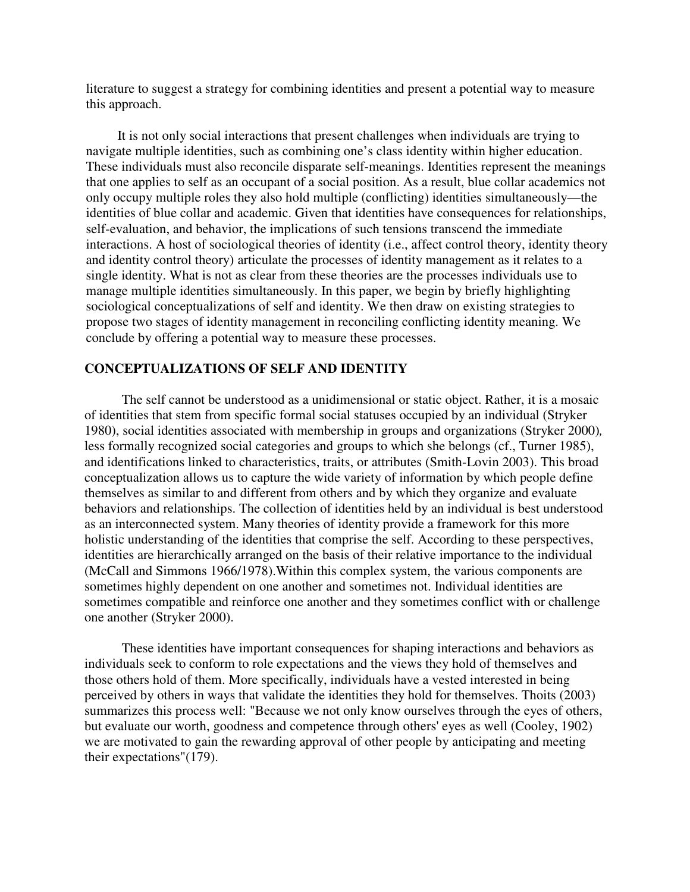literature to suggest a strategy for combining identities and present a potential way to measure this approach.

It is not only social interactions that present challenges when individuals are trying to navigate multiple identities, such as combining one's class identity within higher education. These individuals must also reconcile disparate self-meanings. Identities represent the meanings that one applies to self as an occupant of a social position. As a result, blue collar academics not only occupy multiple roles they also hold multiple (conflicting) identities simultaneously—the identities of blue collar and academic. Given that identities have consequences for relationships, self-evaluation, and behavior, the implications of such tensions transcend the immediate interactions. A host of sociological theories of identity (i.e., affect control theory, identity theory and identity control theory) articulate the processes of identity management as it relates to a single identity. What is not as clear from these theories are the processes individuals use to manage multiple identities simultaneously. In this paper, we begin by briefly highlighting sociological conceptualizations of self and identity. We then draw on existing strategies to propose two stages of identity management in reconciling conflicting identity meaning. We conclude by offering a potential way to measure these processes.

### **CONCEPTUALIZATIONS OF SELF AND IDENTITY**

The self cannot be understood as a unidimensional or static object. Rather, it is a mosaic of identities that stem from specific formal social statuses occupied by an individual (Stryker 1980), social identities associated with membership in groups and organizations (Stryker 2000)*,*  less formally recognized social categories and groups to which she belongs (cf., Turner 1985), and identifications linked to characteristics, traits, or attributes (Smith-Lovin 2003). This broad conceptualization allows us to capture the wide variety of information by which people define themselves as similar to and different from others and by which they organize and evaluate behaviors and relationships. The collection of identities held by an individual is best understood as an interconnected system. Many theories of identity provide a framework for this more holistic understanding of the identities that comprise the self. According to these perspectives, identities are hierarchically arranged on the basis of their relative importance to the individual (McCall and Simmons 1966/1978).Within this complex system, the various components are sometimes highly dependent on one another and sometimes not. Individual identities are sometimes compatible and reinforce one another and they sometimes conflict with or challenge one another (Stryker 2000).

These identities have important consequences for shaping interactions and behaviors as individuals seek to conform to role expectations and the views they hold of themselves and those others hold of them. More specifically, individuals have a vested interested in being perceived by others in ways that validate the identities they hold for themselves. Thoits (2003) summarizes this process well: "Because we not only know ourselves through the eyes of others, but evaluate our worth, goodness and competence through others' eyes as well (Cooley, 1902) we are motivated to gain the rewarding approval of other people by anticipating and meeting their expectations"(179).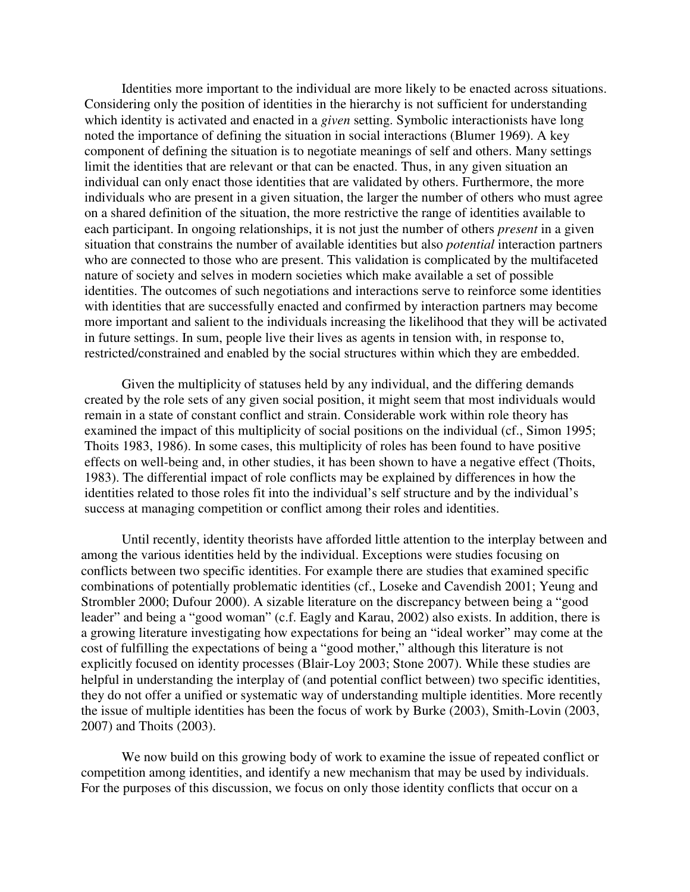Identities more important to the individual are more likely to be enacted across situations. Considering only the position of identities in the hierarchy is not sufficient for understanding which identity is activated and enacted in a *given* setting. Symbolic interactionists have long noted the importance of defining the situation in social interactions (Blumer 1969). A key component of defining the situation is to negotiate meanings of self and others. Many settings limit the identities that are relevant or that can be enacted. Thus, in any given situation an individual can only enact those identities that are validated by others. Furthermore, the more individuals who are present in a given situation, the larger the number of others who must agree on a shared definition of the situation, the more restrictive the range of identities available to each participant. In ongoing relationships, it is not just the number of others *present* in a given situation that constrains the number of available identities but also *potential* interaction partners who are connected to those who are present. This validation is complicated by the multifaceted nature of society and selves in modern societies which make available a set of possible identities. The outcomes of such negotiations and interactions serve to reinforce some identities with identities that are successfully enacted and confirmed by interaction partners may become more important and salient to the individuals increasing the likelihood that they will be activated in future settings. In sum, people live their lives as agents in tension with, in response to, restricted/constrained and enabled by the social structures within which they are embedded.

Given the multiplicity of statuses held by any individual, and the differing demands created by the role sets of any given social position, it might seem that most individuals would remain in a state of constant conflict and strain. Considerable work within role theory has examined the impact of this multiplicity of social positions on the individual (cf., Simon 1995; Thoits 1983, 1986). In some cases, this multiplicity of roles has been found to have positive effects on well-being and, in other studies, it has been shown to have a negative effect (Thoits, 1983). The differential impact of role conflicts may be explained by differences in how the identities related to those roles fit into the individual's self structure and by the individual's success at managing competition or conflict among their roles and identities.

Until recently, identity theorists have afforded little attention to the interplay between and among the various identities held by the individual. Exceptions were studies focusing on conflicts between two specific identities. For example there are studies that examined specific combinations of potentially problematic identities (cf., Loseke and Cavendish 2001; Yeung and Strombler 2000; Dufour 2000). A sizable literature on the discrepancy between being a "good leader" and being a "good woman" (c.f. Eagly and Karau, 2002) also exists. In addition, there is a growing literature investigating how expectations for being an "ideal worker" may come at the cost of fulfilling the expectations of being a "good mother," although this literature is not explicitly focused on identity processes (Blair-Loy 2003; Stone 2007). While these studies are helpful in understanding the interplay of (and potential conflict between) two specific identities, they do not offer a unified or systematic way of understanding multiple identities. More recently the issue of multiple identities has been the focus of work by Burke (2003), Smith-Lovin (2003, 2007) and Thoits (2003).

We now build on this growing body of work to examine the issue of repeated conflict or competition among identities, and identify a new mechanism that may be used by individuals. For the purposes of this discussion, we focus on only those identity conflicts that occur on a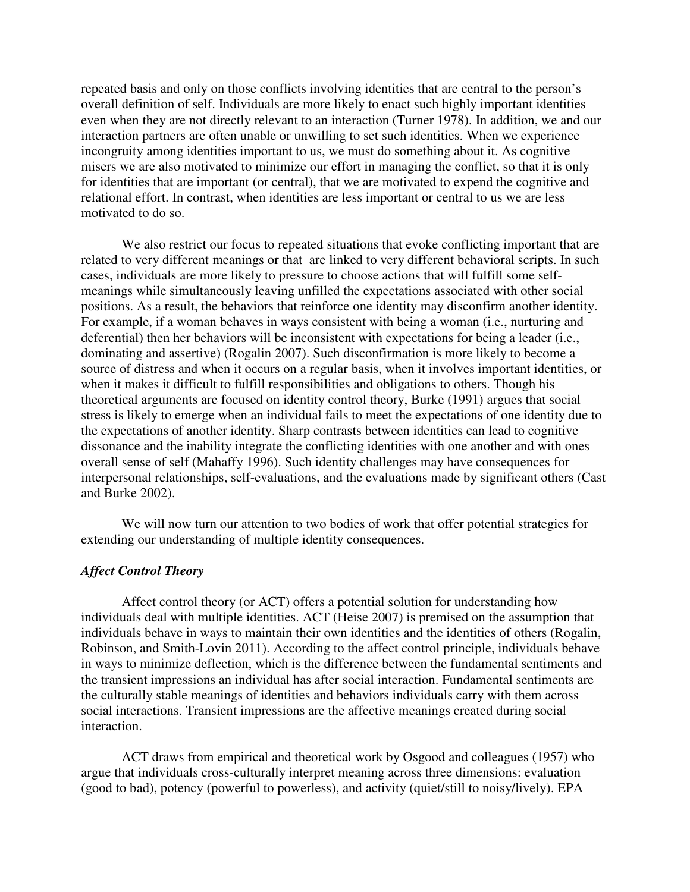repeated basis and only on those conflicts involving identities that are central to the person's overall definition of self. Individuals are more likely to enact such highly important identities even when they are not directly relevant to an interaction (Turner 1978). In addition, we and our interaction partners are often unable or unwilling to set such identities. When we experience incongruity among identities important to us, we must do something about it. As cognitive misers we are also motivated to minimize our effort in managing the conflict, so that it is only for identities that are important (or central), that we are motivated to expend the cognitive and relational effort. In contrast, when identities are less important or central to us we are less motivated to do so.

We also restrict our focus to repeated situations that evoke conflicting important that are related to very different meanings or that are linked to very different behavioral scripts. In such cases, individuals are more likely to pressure to choose actions that will fulfill some selfmeanings while simultaneously leaving unfilled the expectations associated with other social positions. As a result, the behaviors that reinforce one identity may disconfirm another identity. For example, if a woman behaves in ways consistent with being a woman (i.e., nurturing and deferential) then her behaviors will be inconsistent with expectations for being a leader (i.e., dominating and assertive) (Rogalin 2007). Such disconfirmation is more likely to become a source of distress and when it occurs on a regular basis, when it involves important identities, or when it makes it difficult to fulfill responsibilities and obligations to others. Though his theoretical arguments are focused on identity control theory, Burke (1991) argues that social stress is likely to emerge when an individual fails to meet the expectations of one identity due to the expectations of another identity. Sharp contrasts between identities can lead to cognitive dissonance and the inability integrate the conflicting identities with one another and with ones overall sense of self (Mahaffy 1996). Such identity challenges may have consequences for interpersonal relationships, self-evaluations, and the evaluations made by significant others (Cast and Burke 2002).

We will now turn our attention to two bodies of work that offer potential strategies for extending our understanding of multiple identity consequences.

## *Affect Control Theory*

Affect control theory (or ACT) offers a potential solution for understanding how individuals deal with multiple identities. ACT (Heise 2007) is premised on the assumption that individuals behave in ways to maintain their own identities and the identities of others (Rogalin, Robinson, and Smith-Lovin 2011). According to the affect control principle, individuals behave in ways to minimize deflection, which is the difference between the fundamental sentiments and the transient impressions an individual has after social interaction. Fundamental sentiments are the culturally stable meanings of identities and behaviors individuals carry with them across social interactions. Transient impressions are the affective meanings created during social interaction.

ACT draws from empirical and theoretical work by Osgood and colleagues (1957) who argue that individuals cross-culturally interpret meaning across three dimensions: evaluation (good to bad), potency (powerful to powerless), and activity (quiet/still to noisy/lively). EPA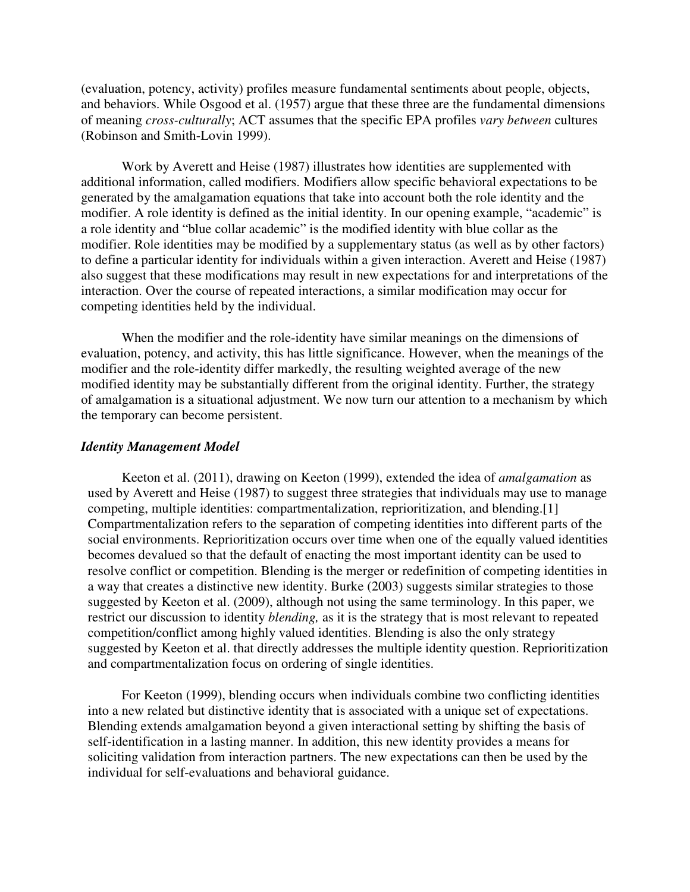(evaluation, potency, activity) profiles measure fundamental sentiments about people, objects, and behaviors. While Osgood et al. (1957) argue that these three are the fundamental dimensions of meaning *cross-culturally*; ACT assumes that the specific EPA profiles *vary between* cultures (Robinson and Smith-Lovin 1999).

Work by Averett and Heise (1987) illustrates how identities are supplemented with additional information, called modifiers. Modifiers allow specific behavioral expectations to be generated by the amalgamation equations that take into account both the role identity and the modifier. A role identity is defined as the initial identity. In our opening example, "academic" is a role identity and "blue collar academic" is the modified identity with blue collar as the modifier. Role identities may be modified by a supplementary status (as well as by other factors) to define a particular identity for individuals within a given interaction. Averett and Heise (1987) also suggest that these modifications may result in new expectations for and interpretations of the interaction. Over the course of repeated interactions, a similar modification may occur for competing identities held by the individual.

When the modifier and the role-identity have similar meanings on the dimensions of evaluation, potency, and activity, this has little significance. However, when the meanings of the modifier and the role-identity differ markedly, the resulting weighted average of the new modified identity may be substantially different from the original identity. Further, the strategy of amalgamation is a situational adjustment. We now turn our attention to a mechanism by which the temporary can become persistent.

#### *Identity Management Model*

Keeton et al. (2011), drawing on Keeton (1999), extended the idea of *amalgamation* as used by Averett and Heise (1987) to suggest three strategies that individuals may use to manage competing, multiple identities: compartmentalization, reprioritization, and blending.[1] Compartmentalization refers to the separation of competing identities into different parts of the social environments. Reprioritization occurs over time when one of the equally valued identities becomes devalued so that the default of enacting the most important identity can be used to resolve conflict or competition. Blending is the merger or redefinition of competing identities in a way that creates a distinctive new identity. Burke (2003) suggests similar strategies to those suggested by Keeton et al. (2009), although not using the same terminology. In this paper, we restrict our discussion to identity *blending,* as it is the strategy that is most relevant to repeated competition/conflict among highly valued identities. Blending is also the only strategy suggested by Keeton et al. that directly addresses the multiple identity question. Reprioritization and compartmentalization focus on ordering of single identities.

For Keeton (1999), blending occurs when individuals combine two conflicting identities into a new related but distinctive identity that is associated with a unique set of expectations. Blending extends amalgamation beyond a given interactional setting by shifting the basis of self-identification in a lasting manner. In addition, this new identity provides a means for soliciting validation from interaction partners. The new expectations can then be used by the individual for self-evaluations and behavioral guidance.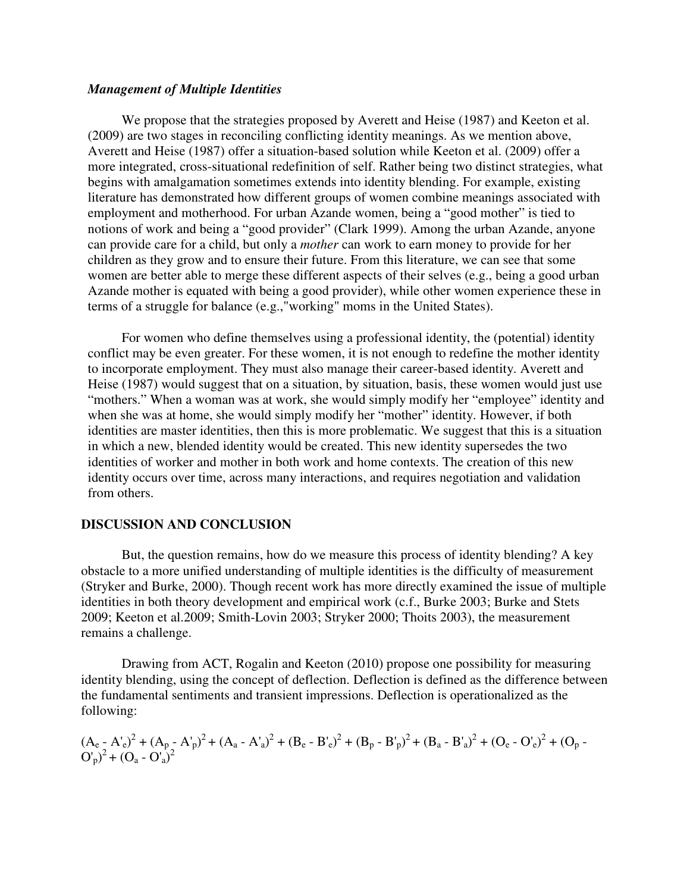#### *Management of Multiple Identities*

We propose that the strategies proposed by Averett and Heise (1987) and Keeton et al. (2009) are two stages in reconciling conflicting identity meanings. As we mention above, Averett and Heise (1987) offer a situation-based solution while Keeton et al. (2009) offer a more integrated, cross-situational redefinition of self. Rather being two distinct strategies, what begins with amalgamation sometimes extends into identity blending. For example, existing literature has demonstrated how different groups of women combine meanings associated with employment and motherhood. For urban Azande women, being a "good mother" is tied to notions of work and being a "good provider" (Clark 1999). Among the urban Azande, anyone can provide care for a child, but only a *mother* can work to earn money to provide for her children as they grow and to ensure their future. From this literature, we can see that some women are better able to merge these different aspects of their selves (e.g., being a good urban Azande mother is equated with being a good provider), while other women experience these in terms of a struggle for balance (e.g.,"working" moms in the United States).

For women who define themselves using a professional identity, the (potential) identity conflict may be even greater. For these women, it is not enough to redefine the mother identity to incorporate employment. They must also manage their career-based identity. Averett and Heise (1987) would suggest that on a situation, by situation, basis, these women would just use "mothers." When a woman was at work, she would simply modify her "employee" identity and when she was at home, she would simply modify her "mother" identity. However, if both identities are master identities, then this is more problematic. We suggest that this is a situation in which a new, blended identity would be created. This new identity supersedes the two identities of worker and mother in both work and home contexts. The creation of this new identity occurs over time, across many interactions, and requires negotiation and validation from others.

#### **DISCUSSION AND CONCLUSION**

But, the question remains, how do we measure this process of identity blending? A key obstacle to a more unified understanding of multiple identities is the difficulty of measurement (Stryker and Burke, 2000). Though recent work has more directly examined the issue of multiple identities in both theory development and empirical work (c.f., Burke 2003; Burke and Stets 2009; Keeton et al.2009; Smith-Lovin 2003; Stryker 2000; Thoits 2003), the measurement remains a challenge.

Drawing from ACT, Rogalin and Keeton (2010) propose one possibility for measuring identity blending, using the concept of deflection. Deflection is defined as the difference between the fundamental sentiments and transient impressions. Deflection is operationalized as the following:

$$
(A_e - A'_e)^2 + (A_p - A'_p)^2 + (A_a - A'_a)^2 + (B_e - B'_e)^2 + (B_p - B'_p)^2 + (B_a - B'_a)^2 + (O_e - O'_e)^2 + (O_p - O'_p)^2 + (O_a - O'_a)^2
$$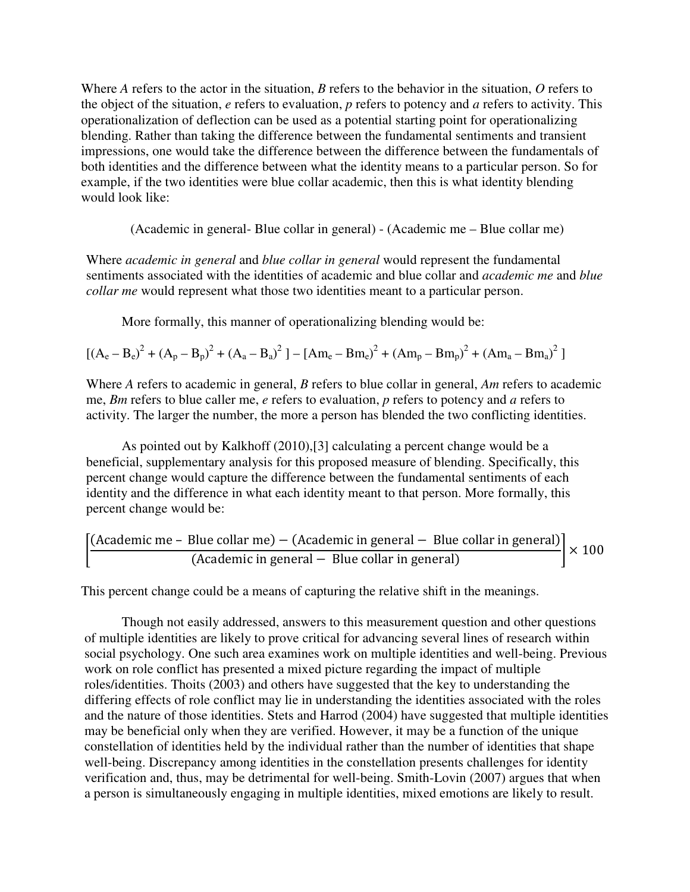Where *A* refers to the actor in the situation, *B* refers to the behavior in the situation, *O* refers to the object of the situation, *e* refers to evaluation, *p* refers to potency and *a* refers to activity. This operationalization of deflection can be used as a potential starting point for operationalizing blending. Rather than taking the difference between the fundamental sentiments and transient impressions, one would take the difference between the difference between the fundamentals of both identities and the difference between what the identity means to a particular person. So for example, if the two identities were blue collar academic, then this is what identity blending would look like:

(Academic in general- Blue collar in general) - (Academic me – Blue collar me)

Where *academic in general* and *blue collar in general* would represent the fundamental sentiments associated with the identities of academic and blue collar and *academic me* and *blue collar me* would represent what those two identities meant to a particular person.

More formally, this manner of operationalizing blending would be:

$$
\left[ \left( A_e - B_e \right)^2 + \left( A_p - B_p \right)^2 + \left( A_a - B_a \right)^2 \right] - \left[ A m_e - B m_e \right)^2 + \left( A m_p - B m_p \right)^2 + \left( A m_a - B m_a \right)^2 \right]
$$

Where *A* refers to academic in general, *B* refers to blue collar in general, *Am* refers to academic me, *Bm* refers to blue caller me, *e* refers to evaluation, *p* refers to potency and *a* refers to activity. The larger the number, the more a person has blended the two conflicting identities.

As pointed out by Kalkhoff (2010),[3] calculating a percent change would be a beneficial, supplementary analysis for this proposed measure of blending. Specifically, this percent change would capture the difference between the fundamental sentiments of each identity and the difference in what each identity meant to that person. More formally, this percent change would be:

$$
\left[ \frac{\text{(Academic me - Blue collar me)} - \text{(Academic in general - Blue collar in general)}}{\text{(Academic in general - Blue collar in general)}} \right] \times 100
$$

This percent change could be a means of capturing the relative shift in the meanings.

Though not easily addressed, answers to this measurement question and other questions of multiple identities are likely to prove critical for advancing several lines of research within social psychology. One such area examines work on multiple identities and well-being. Previous work on role conflict has presented a mixed picture regarding the impact of multiple roles/identities. Thoits (2003) and others have suggested that the key to understanding the differing effects of role conflict may lie in understanding the identities associated with the roles and the nature of those identities. Stets and Harrod (2004) have suggested that multiple identities may be beneficial only when they are verified. However, it may be a function of the unique constellation of identities held by the individual rather than the number of identities that shape well-being. Discrepancy among identities in the constellation presents challenges for identity verification and, thus, may be detrimental for well-being. Smith-Lovin (2007) argues that when a person is simultaneously engaging in multiple identities, mixed emotions are likely to result.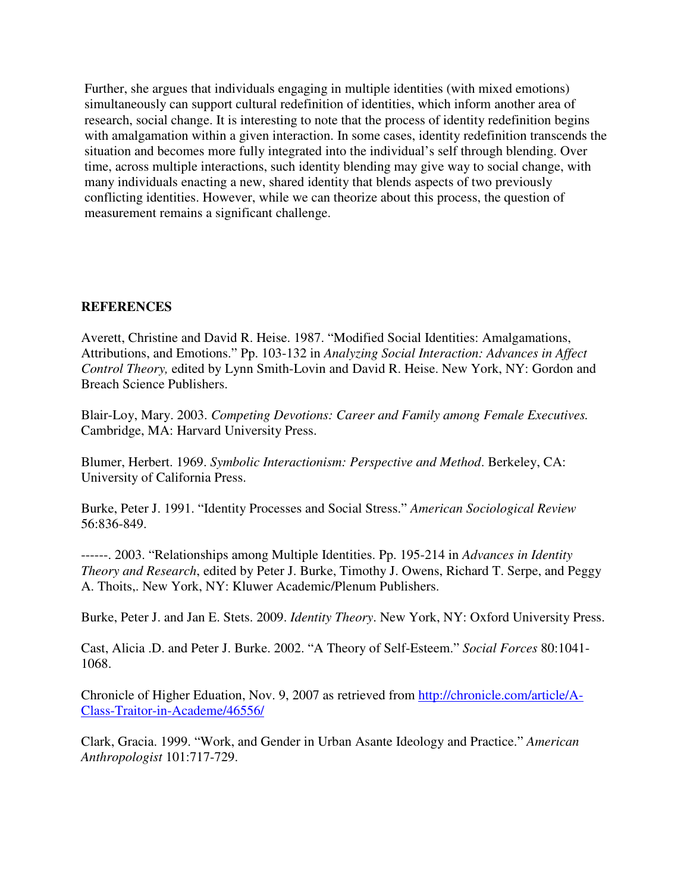Further, she argues that individuals engaging in multiple identities (with mixed emotions) simultaneously can support cultural redefinition of identities, which inform another area of research, social change. It is interesting to note that the process of identity redefinition begins with amalgamation within a given interaction. In some cases, identity redefinition transcends the situation and becomes more fully integrated into the individual's self through blending. Over time, across multiple interactions, such identity blending may give way to social change, with many individuals enacting a new, shared identity that blends aspects of two previously conflicting identities. However, while we can theorize about this process, the question of measurement remains a significant challenge.

## **REFERENCES**

Averett, Christine and David R. Heise. 1987. "Modified Social Identities: Amalgamations, Attributions, and Emotions." Pp. 103-132 in *Analyzing Social Interaction: Advances in Affect Control Theory,* edited by Lynn Smith-Lovin and David R. Heise. New York, NY: Gordon and Breach Science Publishers.

Blair-Loy, Mary. 2003. *Competing Devotions: Career and Family among Female Executives.*  Cambridge, MA: Harvard University Press.

Blumer, Herbert. 1969. *Symbolic Interactionism: Perspective and Method*. Berkeley, CA: University of California Press.

Burke, Peter J. 1991. "Identity Processes and Social Stress." *American Sociological Review* 56:836-849.

------. 2003. "Relationships among Multiple Identities. Pp. 195-214 in *Advances in Identity Theory and Research*, edited by Peter J. Burke, Timothy J. Owens, Richard T. Serpe, and Peggy A. Thoits,. New York, NY: Kluwer Academic/Plenum Publishers.

Burke, Peter J. and Jan E. Stets. 2009. *Identity Theory*. New York, NY: Oxford University Press.

Cast, Alicia .D. and Peter J. Burke. 2002. "A Theory of Self-Esteem." *Social Forces* 80:1041- 1068.

Chronicle of Higher Eduation, Nov. 9, 2007 as retrieved from http://chronicle.com/article/A-Class-Traitor-in-Academe/46556/

Clark, Gracia. 1999. "Work, and Gender in Urban Asante Ideology and Practice." *American Anthropologist* 101:717-729.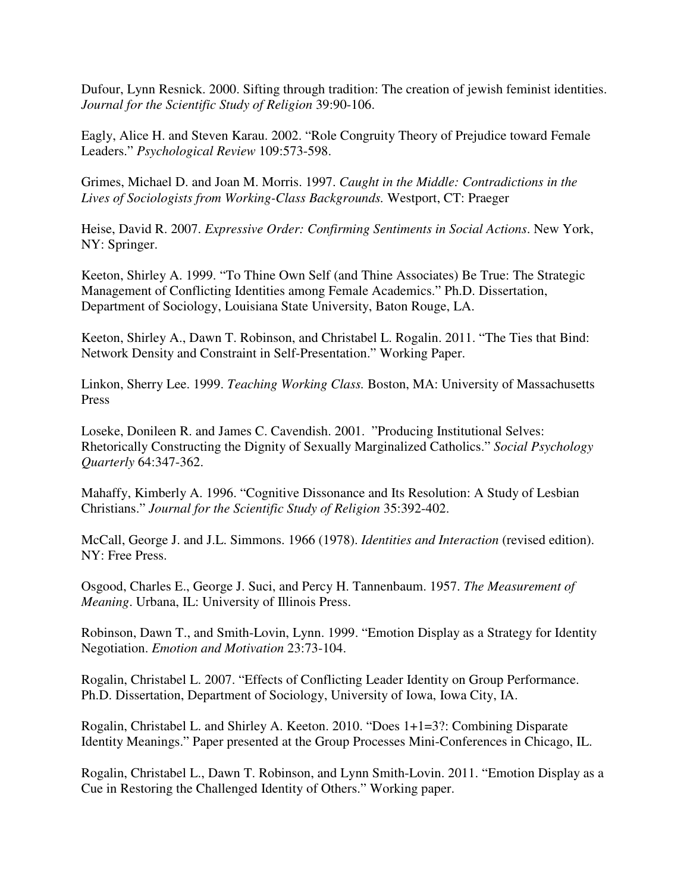Dufour, Lynn Resnick. 2000. Sifting through tradition: The creation of jewish feminist identities. *Journal for the Scientific Study of Religion* 39:90-106.

Eagly, Alice H. and Steven Karau. 2002. "Role Congruity Theory of Prejudice toward Female Leaders." *Psychological Review* 109:573-598.

Grimes, Michael D. and Joan M. Morris. 1997. *Caught in the Middle: Contradictions in the Lives of Sociologists from Working-Class Backgrounds.* Westport, CT: Praeger

Heise, David R. 2007. *Expressive Order: Confirming Sentiments in Social Actions*. New York, NY: Springer.

Keeton, Shirley A. 1999. "To Thine Own Self (and Thine Associates) Be True: The Strategic Management of Conflicting Identities among Female Academics." Ph.D. Dissertation, Department of Sociology, Louisiana State University, Baton Rouge, LA.

Keeton, Shirley A., Dawn T. Robinson, and Christabel L. Rogalin. 2011. "The Ties that Bind: Network Density and Constraint in Self-Presentation." Working Paper.

Linkon, Sherry Lee. 1999. *Teaching Working Class.* Boston, MA: University of Massachusetts Press

Loseke, Donileen R. and James C. Cavendish. 2001. "Producing Institutional Selves: Rhetorically Constructing the Dignity of Sexually Marginalized Catholics." *Social Psychology Quarterly* 64:347-362.

Mahaffy, Kimberly A. 1996. "Cognitive Dissonance and Its Resolution: A Study of Lesbian Christians." *Journal for the Scientific Study of Religion* 35:392-402.

McCall, George J. and J.L. Simmons. 1966 (1978). *Identities and Interaction* (revised edition). NY: Free Press.

Osgood, Charles E., George J. Suci, and Percy H. Tannenbaum. 1957. *The Measurement of Meaning*. Urbana, IL: University of Illinois Press.

Robinson, Dawn T., and Smith-Lovin, Lynn. 1999. "Emotion Display as a Strategy for Identity Negotiation. *Emotion and Motivation* 23:73-104.

Rogalin, Christabel L. 2007. "Effects of Conflicting Leader Identity on Group Performance. Ph.D. Dissertation, Department of Sociology, University of Iowa, Iowa City, IA.

Rogalin, Christabel L. and Shirley A. Keeton. 2010. "Does 1+1=3?: Combining Disparate Identity Meanings." Paper presented at the Group Processes Mini-Conferences in Chicago, IL.

Rogalin, Christabel L., Dawn T. Robinson, and Lynn Smith-Lovin. 2011. "Emotion Display as a Cue in Restoring the Challenged Identity of Others." Working paper.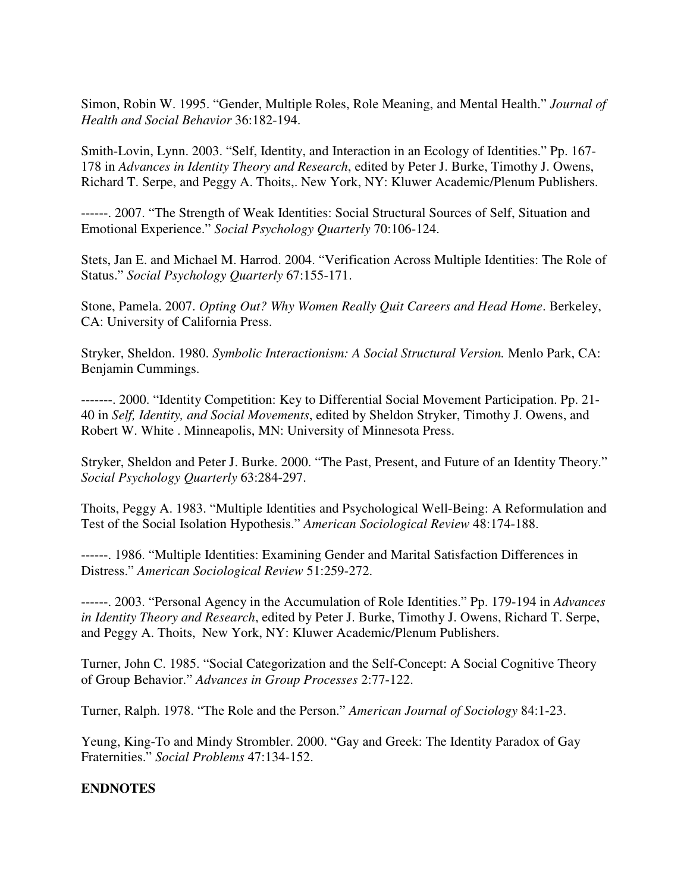Simon, Robin W. 1995. "Gender, Multiple Roles, Role Meaning, and Mental Health." *Journal of Health and Social Behavior* 36:182-194.

Smith-Lovin, Lynn. 2003. "Self, Identity, and Interaction in an Ecology of Identities." Pp. 167- 178 in *Advances in Identity Theory and Research*, edited by Peter J. Burke, Timothy J. Owens, Richard T. Serpe, and Peggy A. Thoits,. New York, NY: Kluwer Academic/Plenum Publishers.

------. 2007. "The Strength of Weak Identities: Social Structural Sources of Self, Situation and Emotional Experience." *Social Psychology Quarterly* 70:106-124.

Stets, Jan E. and Michael M. Harrod. 2004. "Verification Across Multiple Identities: The Role of Status." *Social Psychology Quarterly* 67:155-171.

Stone, Pamela. 2007. *Opting Out? Why Women Really Quit Careers and Head Home*. Berkeley, CA: University of California Press.

Stryker, Sheldon. 1980. *Symbolic Interactionism: A Social Structural Version.* Menlo Park, CA: Benjamin Cummings.

-------. 2000. "Identity Competition: Key to Differential Social Movement Participation. Pp. 21- 40 in *Self, Identity, and Social Movements*, edited by Sheldon Stryker, Timothy J. Owens, and Robert W. White . Minneapolis, MN: University of Minnesota Press.

Stryker, Sheldon and Peter J. Burke. 2000. "The Past, Present, and Future of an Identity Theory." *Social Psychology Quarterly* 63:284-297.

Thoits, Peggy A. 1983. "Multiple Identities and Psychological Well-Being: A Reformulation and Test of the Social Isolation Hypothesis." *American Sociological Review* 48:174-188.

------. 1986. "Multiple Identities: Examining Gender and Marital Satisfaction Differences in Distress." *American Sociological Review* 51:259-272.

------. 2003. "Personal Agency in the Accumulation of Role Identities." Pp. 179-194 in *Advances in Identity Theory and Research*, edited by Peter J. Burke, Timothy J. Owens, Richard T. Serpe, and Peggy A. Thoits, New York, NY: Kluwer Academic/Plenum Publishers.

Turner, John C. 1985. "Social Categorization and the Self-Concept: A Social Cognitive Theory of Group Behavior." *Advances in Group Processes* 2:77-122.

Turner, Ralph. 1978. "The Role and the Person." *American Journal of Sociology* 84:1-23.

Yeung, King-To and Mindy Strombler. 2000. "Gay and Greek: The Identity Paradox of Gay Fraternities." *Social Problems* 47:134-152.

## **ENDNOTES**